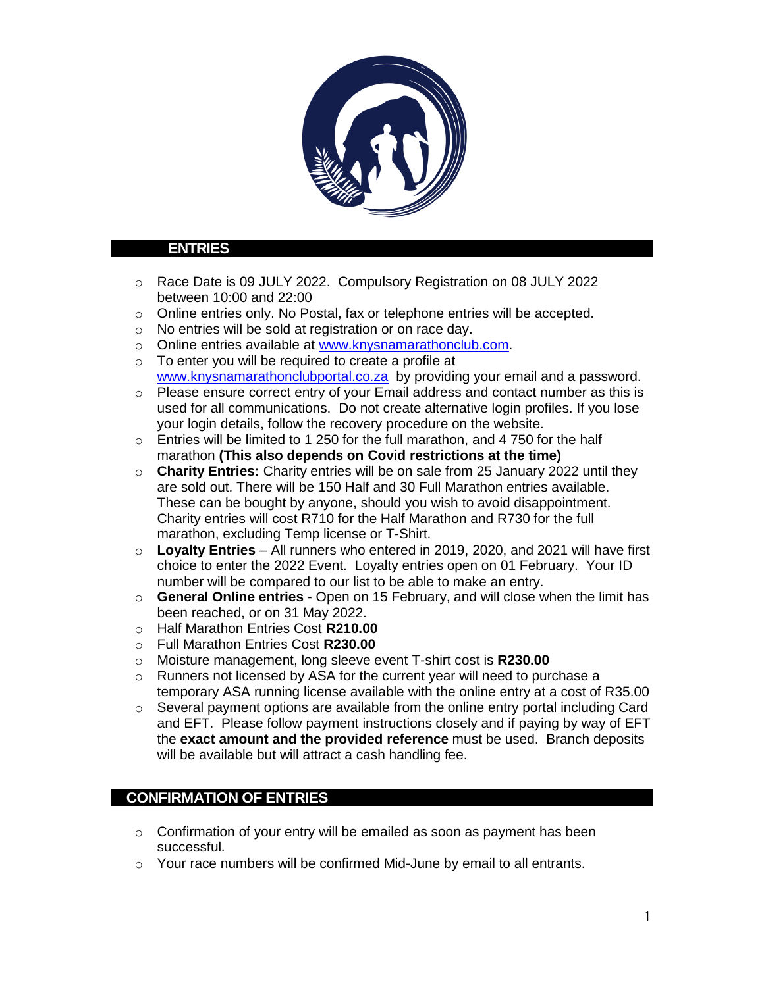

## **ENTRIES**

- o Race Date is 09 JULY 2022. Compulsory Registration on 08 JULY 2022 between 10:00 and 22:00
- o Online entries only. No Postal, fax or telephone entries will be accepted.
- o No entries will be sold at registration or on race day.
- o Online entries available at [www.knysnamarathonclub.com.](http://www.knysnamarathonclub.com/)
- $\circ$  To enter you will be required to create a profile at [www.knysnamarathonclubportal.co.za](http://www.knysnamarathonclubportal.co.za/) by providing your email and a password.
- o Please ensure correct entry of your Email address and contact number as this is used for all communications. Do not create alternative login profiles. If you lose your login details, follow the recovery procedure on the website.
- $\circ$  Entries will be limited to 1 250 for the full marathon, and 4 750 for the half marathon **(This also depends on Covid restrictions at the time)**
- o **Charity Entries:** Charity entries will be on sale from 25 January 2022 until they are sold out. There will be 150 Half and 30 Full Marathon entries available. These can be bought by anyone, should you wish to avoid disappointment. Charity entries will cost R710 for the Half Marathon and R730 for the full marathon, excluding Temp license or T-Shirt.
- o **Loyalty Entries** All runners who entered in 2019, 2020, and 2021 will have first choice to enter the 2022 Event. Loyalty entries open on 01 February. Your ID number will be compared to our list to be able to make an entry.
- o **General Online entries** Open on 15 February, and will close when the limit has been reached, or on 31 May 2022.
- o Half Marathon Entries Cost **R210.00**
- o Full Marathon Entries Cost **R230.00**
- o Moisture management, long sleeve event T-shirt cost is **R230.00**
- o Runners not licensed by ASA for the current year will need to purchase a temporary ASA running license available with the online entry at a cost of R35.00
- o Several payment options are available from the online entry portal including Card and EFT. Please follow payment instructions closely and if paying by way of EFT the **exact amount and the provided reference** must be used. Branch deposits will be available but will attract a cash handling fee.

# **CONFIRMATION OF ENTRIES**

- $\circ$  Confirmation of your entry will be emailed as soon as payment has been successful.
- o Your race numbers will be confirmed Mid-June by email to all entrants.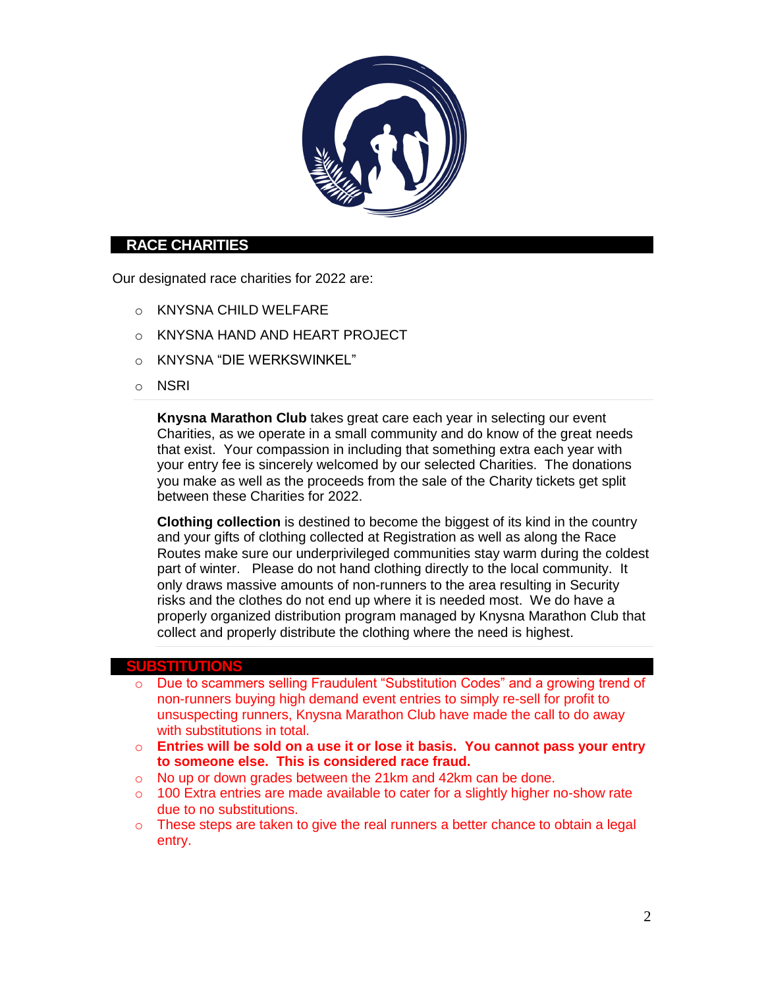

## **RACE CHARITIES**

Our designated race charities for 2022 are:

- o KNYSNA CHILD WELFARE
- o KNYSNA HAND AND HEART PROJECT
- o KNYSNA "DIE WERKSWINKEL"
- o NSRI

**Knysna Marathon Club** takes great care each year in selecting our event Charities, as we operate in a small community and do know of the great needs that exist. Your compassion in including that something extra each year with your entry fee is sincerely welcomed by our selected Charities. The donations you make as well as the proceeds from the sale of the Charity tickets get split between these Charities for 2022.

**Clothing collection** is destined to become the biggest of its kind in the country and your gifts of clothing collected at Registration as well as along the Race Routes make sure our underprivileged communities stay warm during the coldest part of winter. Please do not hand clothing directly to the local community. It only draws massive amounts of non-runners to the area resulting in Security risks and the clothes do not end up where it is needed most. We do have a properly organized distribution program managed by Knysna Marathon Club that collect and properly distribute the clothing where the need is highest.

#### **SUBSTITUTIONS**

- o Due to scammers selling Fraudulent "Substitution Codes" and a growing trend of non-runners buying high demand event entries to simply re-sell for profit to unsuspecting runners, Knysna Marathon Club have made the call to do away with substitutions in total.
- o **Entries will be sold on a use it or lose it basis. You cannot pass your entry to someone else. This is considered race fraud.**
- o No up or down grades between the 21km and 42km can be done.
- $\circ$  100 Extra entries are made available to cater for a slightly higher no-show rate due to no substitutions.
- o These steps are taken to give the real runners a better chance to obtain a legal entry.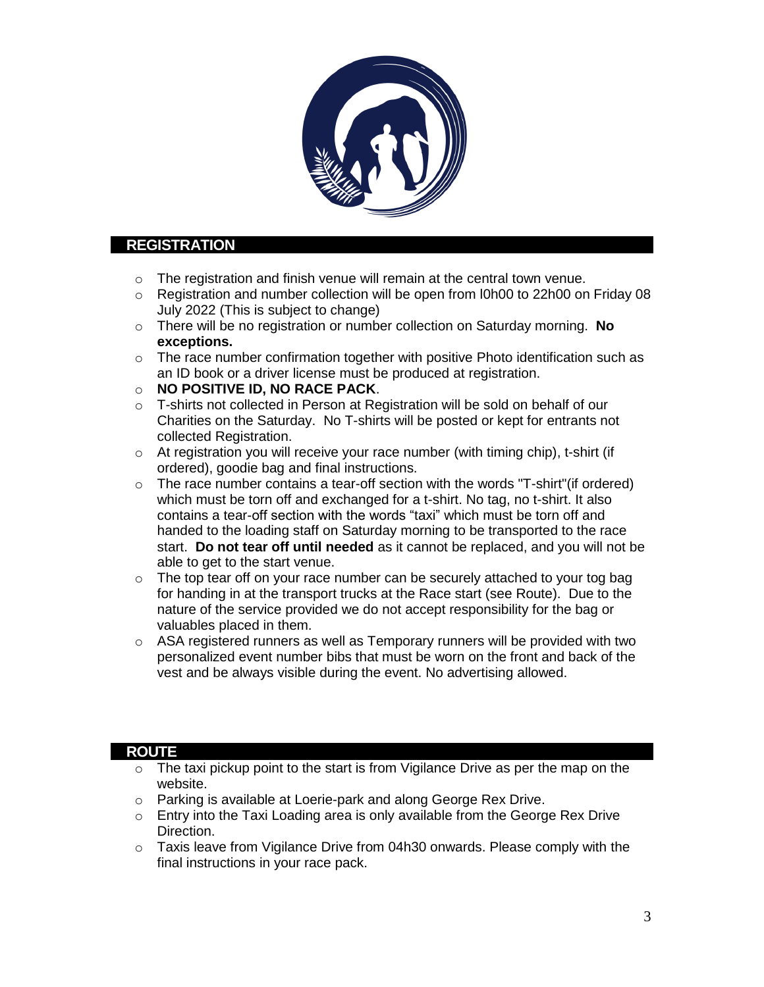

## **REGISTRATION**

- o The registration and finish venue will remain at the central town venue.
- $\circ$  Registration and number collection will be open from I0h00 to 22h00 on Friday 08 July 2022 (This is subject to change)
- o There will be no registration or number collection on Saturday morning. **No exceptions.**
- $\circ$  The race number confirmation together with positive Photo identification such as an ID book or a driver license must be produced at registration.
- o **NO POSITIVE ID, NO RACE PACK**.
- $\circ$  T-shirts not collected in Person at Registration will be sold on behalf of our Charities on the Saturday. No T-shirts will be posted or kept for entrants not collected Registration.
- o At registration you will receive your race number (with timing chip), t-shirt (if ordered), goodie bag and final instructions.
- $\circ$  The race number contains a tear-off section with the words "T-shirt"(if ordered) which must be torn off and exchanged for a t-shirt. No tag, no t-shirt. It also contains a tear-off section with the words "taxi" which must be torn off and handed to the loading staff on Saturday morning to be transported to the race start. **Do not tear off until needed** as it cannot be replaced, and you will not be able to get to the start venue.
- $\circ$  The top tear off on your race number can be securely attached to your tog bag for handing in at the transport trucks at the Race start (see Route). Due to the nature of the service provided we do not accept responsibility for the bag or valuables placed in them.
- $\circ$  ASA registered runners as well as Temporary runners will be provided with two personalized event number bibs that must be worn on the front and back of the vest and be always visible during the event. No advertising allowed.

### **ROUTE**

- o The taxi pickup point to the start is from Vigilance Drive as per the map on the website.
- o Parking is available at Loerie-park and along George Rex Drive.
- o Entry into the Taxi Loading area is only available from the George Rex Drive Direction.
- $\circ$  Taxis leave from Vigilance Drive from 04h30 onwards. Please comply with the final instructions in your race pack.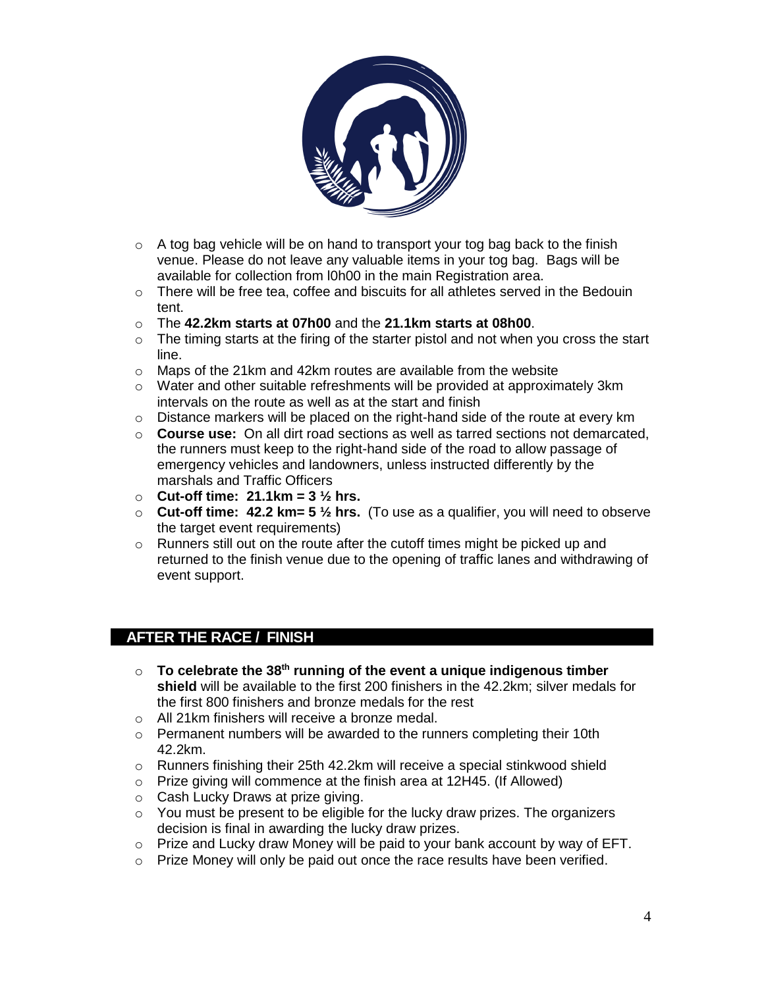

- o A tog bag vehicle will be on hand to transport your tog bag back to the finish venue. Please do not leave any valuable items in your tog bag. Bags will be available for collection from l0h00 in the main Registration area.
- $\circ$  There will be free tea, coffee and biscuits for all athletes served in the Bedouin tent.
- o The **42.2km starts at 07h00** and the **21.1km starts at 08h00**.
- $\circ$  The timing starts at the firing of the starter pistol and not when you cross the start line.
- o Maps of the 21km and 42km routes are available from the website
- $\circ$  Water and other suitable refreshments will be provided at approximately 3km intervals on the route as well as at the start and finish
- $\circ$  Distance markers will be placed on the right-hand side of the route at every km
- o **Course use:** On all dirt road sections as well as tarred sections not demarcated, the runners must keep to the right-hand side of the road to allow passage of emergency vehicles and landowners, unless instructed differently by the marshals and Traffic Officers
- o **Cut-off time: 21.1km = 3 ½ hrs.**
- o **Cut-off time: 42.2 km= 5 ½ hrs.** (To use as a qualifier, you will need to observe the target event requirements)
- $\circ$  Runners still out on the route after the cutoff times might be picked up and returned to the finish venue due to the opening of traffic lanes and withdrawing of event support.

# **AFTER THE RACE / FINISH**

- o **To celebrate the 38 th running of the event a unique indigenous timber shield** will be available to the first 200 finishers in the 42.2km; silver medals for the first 800 finishers and bronze medals for the rest
- o All 21km finishers will receive a bronze medal.
- o Permanent numbers will be awarded to the runners completing their 10th 42.2km.
- $\circ$  Runners finishing their 25th 42.2km will receive a special stinkwood shield
- o Prize giving will commence at the finish area at 12H45. (If Allowed)
- o Cash Lucky Draws at prize giving.
- $\circ$  You must be present to be eligible for the lucky draw prizes. The organizers decision is final in awarding the lucky draw prizes.
- $\circ$  Prize and Lucky draw Money will be paid to your bank account by way of EFT.
- $\circ$  Prize Money will only be paid out once the race results have been verified.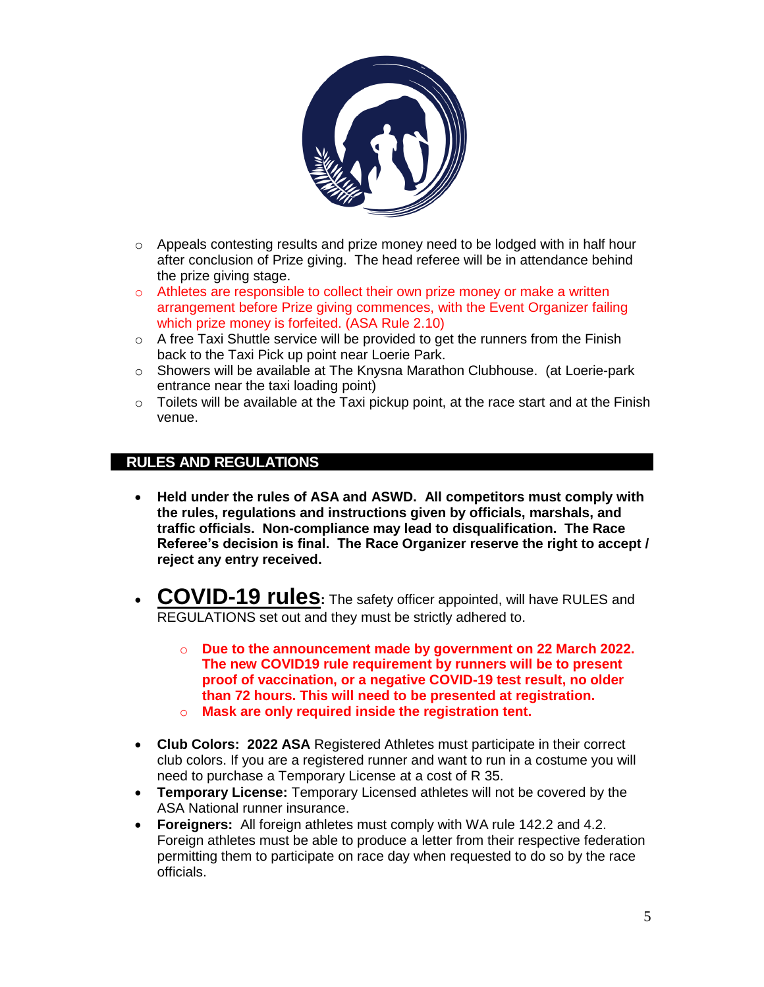

- o Appeals contesting results and prize money need to be lodged with in half hour after conclusion of Prize giving. The head referee will be in attendance behind the prize giving stage.
- $\circ$  Athletes are responsible to collect their own prize money or make a written arrangement before Prize giving commences, with the Event Organizer failing which prize money is forfeited. (ASA Rule 2.10)
- $\circ$  A free Taxi Shuttle service will be provided to get the runners from the Finish back to the Taxi Pick up point near Loerie Park.
- o Showers will be available at The Knysna Marathon Clubhouse. (at Loerie-park entrance near the taxi loading point)
- $\circ$  Toilets will be available at the Taxi pickup point, at the race start and at the Finish venue.

# **RULES AND REGULATIONS**

- **Held under the rules of ASA and ASWD. All competitors must comply with the rules, regulations and instructions given by officials, marshals, and traffic officials. Non-compliance may lead to disqualification. The Race Referee's decision is final. The Race Organizer reserve the right to accept / reject any entry received.**
- **COVID-19 rules:** The safety officer appointed, will have RULES and REGULATIONS set out and they must be strictly adhered to.
	- o **Due to the announcement made by government on 22 March 2022. The new COVID19 rule requirement by runners will be to present proof of vaccination, or a negative COVID-19 test result, no older than 72 hours. This will need to be presented at registration.**
	- o **Mask are only required inside the registration tent.**
- **Club Colors: 2022 ASA** Registered Athletes must participate in their correct club colors. If you are a registered runner and want to run in a costume you will need to purchase a Temporary License at a cost of R 35.
- **Temporary License:** Temporary Licensed athletes will not be covered by the ASA National runner insurance.
- **Foreigners:** All foreign athletes must comply with WA rule 142.2 and 4.2. Foreign athletes must be able to produce a letter from their respective federation permitting them to participate on race day when requested to do so by the race officials.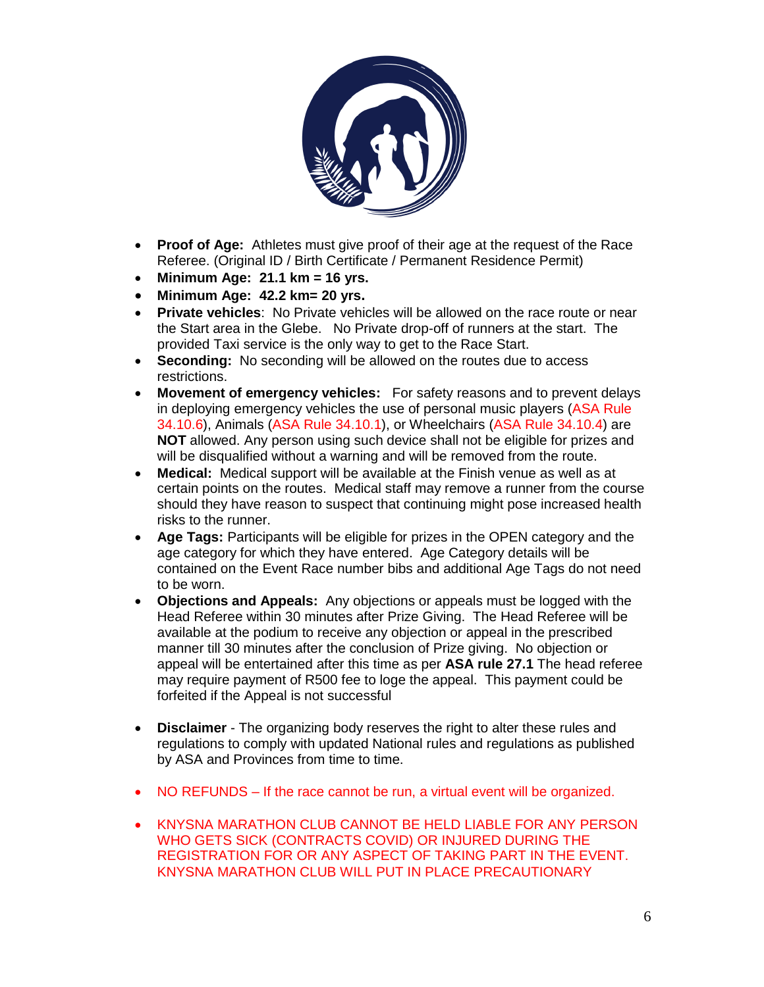

- **Proof of Age:** Athletes must give proof of their age at the request of the Race Referee. (Original ID / Birth Certificate / Permanent Residence Permit)
- **Minimum Age: 21.1 km = 16 yrs.**
- **Minimum Age: 42.2 km= 20 yrs.**
- **Private vehicles:** No Private vehicles will be allowed on the race route or near the Start area in the Glebe. No Private drop-off of runners at the start. The provided Taxi service is the only way to get to the Race Start.
- **Seconding:** No seconding will be allowed on the routes due to access restrictions.
- **Movement of emergency vehicles:** For safety reasons and to prevent delays in deploying emergency vehicles the use of personal music players (ASA Rule 34.10.6), Animals (ASA Rule 34.10.1), or Wheelchairs (ASA Rule 34.10.4) are **NOT** allowed. Any person using such device shall not be eligible for prizes and will be disqualified without a warning and will be removed from the route.
- **Medical:** Medical support will be available at the Finish venue as well as at certain points on the routes. Medical staff may remove a runner from the course should they have reason to suspect that continuing might pose increased health risks to the runner.
- **Age Tags:** Participants will be eligible for prizes in the OPEN category and the age category for which they have entered. Age Category details will be contained on the Event Race number bibs and additional Age Tags do not need to be worn.
- **Objections and Appeals:** Any objections or appeals must be logged with the Head Referee within 30 minutes after Prize Giving. The Head Referee will be available at the podium to receive any objection or appeal in the prescribed manner till 30 minutes after the conclusion of Prize giving. No objection or appeal will be entertained after this time as per **ASA rule 27.1** The head referee may require payment of R500 fee to loge the appeal. This payment could be forfeited if the Appeal is not successful
- **Disclaimer**  The organizing body reserves the right to alter these rules and regulations to comply with updated National rules and regulations as published by ASA and Provinces from time to time.
- NO REFUNDS If the race cannot be run, a virtual event will be organized.
- KNYSNA MARATHON CLUB CANNOT BE HELD LIABLE FOR ANY PERSON WHO GETS SICK (CONTRACTS COVID) OR INJURED DURING THE REGISTRATION FOR OR ANY ASPECT OF TAKING PART IN THE EVENT. KNYSNA MARATHON CLUB WILL PUT IN PLACE PRECAUTIONARY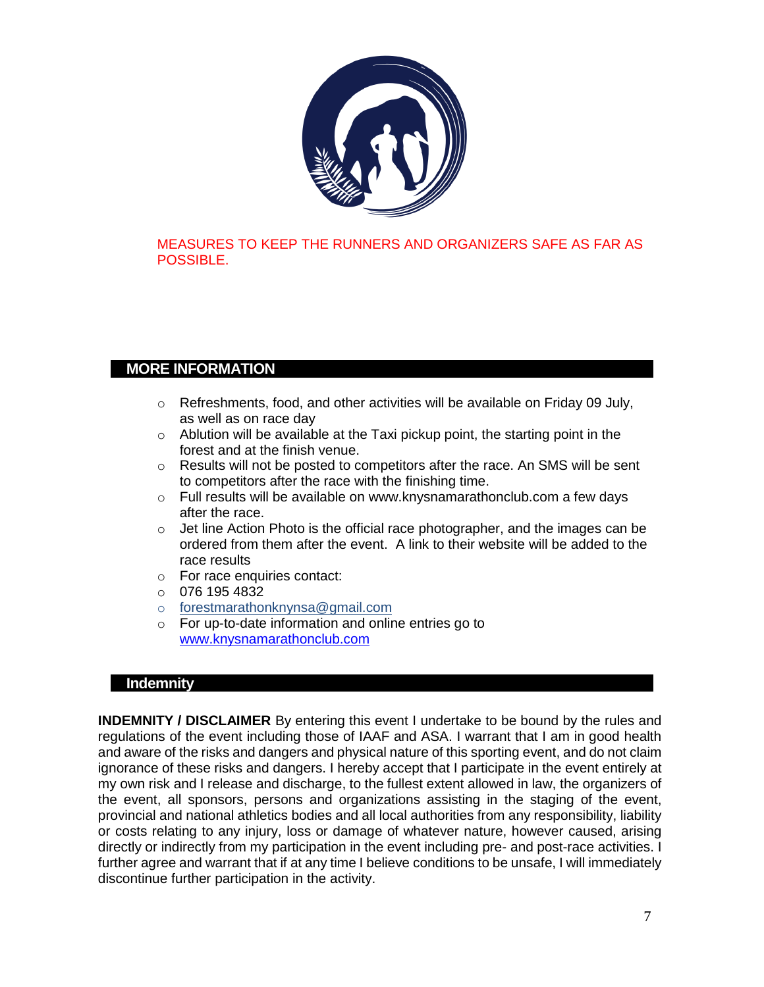

## MEASURES TO KEEP THE RUNNERS AND ORGANIZERS SAFE AS FAR AS POSSIBLE.

# **MORE INFORMATION**

- o Refreshments, food, and other activities will be available on Friday 09 July, as well as on race day
- o Ablution will be available at the Taxi pickup point, the starting point in the forest and at the finish venue.
- $\circ$  Results will not be posted to competitors after the race. An SMS will be sent to competitors after the race with the finishing time.
- $\circ$  Full results will be available on www.knysnamarathonclub.com a few days after the race.
- $\circ$  Jet line Action Photo is the official race photographer, and the images can be ordered from them after the event. A link to their website will be added to the race results
- o For race enquiries contact:
- $\circ$  076 195 4832
- o forestmarathonknynsa@gmail.com
- o For up-to-date information and online entries go to [www.knysnamarathonclub.com](http://www.knysnamarathonclub.co.za/)

### **Indemnity**

**INDEMNITY / DISCLAIMER** By entering this event I undertake to be bound by the rules and regulations of the event including those of IAAF and ASA. I warrant that I am in good health and aware of the risks and dangers and physical nature of this sporting event, and do not claim ignorance of these risks and dangers. I hereby accept that I participate in the event entirely at my own risk and I release and discharge, to the fullest extent allowed in law, the organizers of the event, all sponsors, persons and organizations assisting in the staging of the event, provincial and national athletics bodies and all local authorities from any responsibility, liability or costs relating to any injury, loss or damage of whatever nature, however caused, arising directly or indirectly from my participation in the event including pre- and post-race activities. I further agree and warrant that if at any time I believe conditions to be unsafe, I will immediately discontinue further participation in the activity.